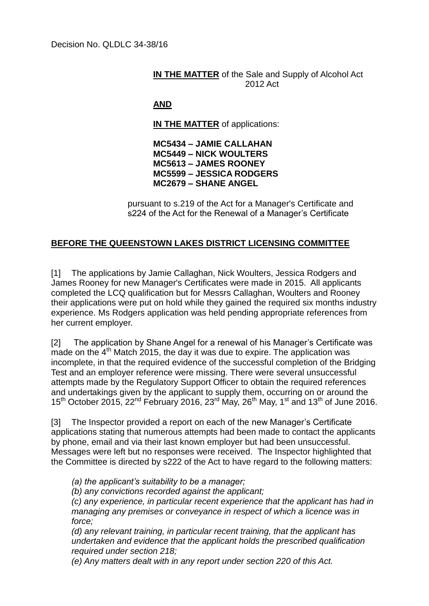## **IN THE MATTER** of the Sale and Supply of Alcohol Act 2012 Act

## **AND**

**IN THE MATTER** of applications:

**MC5434 – JAMIE CALLAHAN MC5449 – NICK WOULTERS MC5613 – JAMES ROONEY MC5599 – JESSICA RODGERS MC2679 – SHANE ANGEL**

pursuant to s.219 of the Act for a Manager's Certificate and s224 of the Act for the Renewal of a Manager's Certificate

## **BEFORE THE QUEENSTOWN LAKES DISTRICT LICENSING COMMITTEE**

[1] The applications by Jamie Callaghan, Nick Woulters, Jessica Rodgers and James Rooney for new Manager's Certificates were made in 2015. All applicants completed the LCQ qualification but for Messrs Callaghan, Woulters and Rooney their applications were put on hold while they gained the required six months industry experience. Ms Rodgers application was held pending appropriate references from her current employer.

[2] The application by Shane Angel for a renewal of his Manager's Certificate was th a contright at the 4<sup>th</sup> Match 2015, the day it was due to expire. The application was incomplete, in that the required evidence of the successful completion of the Bridging Test and an employer reference were missing. There were several unsuccessful attempts made by the Regulatory Support Officer to obtain the required references and undertakings given by the applicant to supply them, occurring on or around the  $15<sup>th</sup>$  October 2015, 22<sup>nd</sup> February 2016, 23<sup>rd</sup> May, 26<sup>th</sup> May, 1<sup>st</sup> and 13<sup>th</sup> of June 2016.

[3] The Inspector provided a report on each of the new Manager's Certificate applications stating that numerous attempts had been made to contact the applicants by phone, email and via their last known employer but had been unsuccessful. Messages were left but no responses were received. The Inspector highlighted that the Committee is directed by s222 of the Act to have regard to the following matters:

*(a) the applicant's suitability to be a manager;*

*(b) any convictions recorded against the applicant;*

*(c) any experience, in particular recent experience that the applicant has had in managing any premises or conveyance in respect of which a licence was in force;*

*(d) any relevant training, in particular recent training, that the applicant has undertaken and evidence that the applicant holds the prescribed qualification required under section 218;*

*(e) Any matters dealt with in any report under section 220 of this Act.*